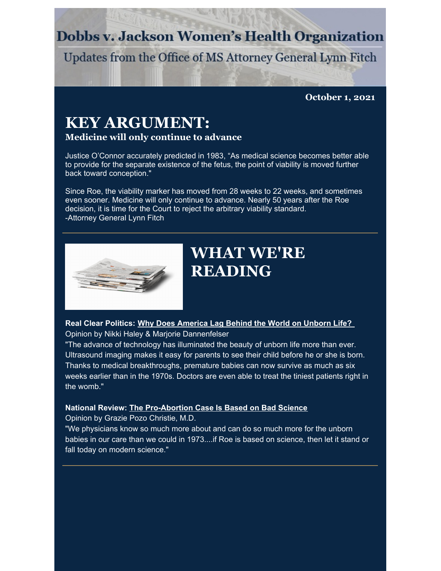## **Dobbs v. Jackson Women's Health Organization**

Updates from the Office of MS Attorney General Lynn Fitch

**October 1, 2021**

# **KEY ARGUMENT:**

## **Medicine will only continue to advance**

Justice O'Connor accurately predicted in 1983, "As medical science becomes better able to provide for the separate existence of the fetus, the point of viability is moved further back toward conception."

Since Roe, the viability marker has moved from 28 weeks to 22 weeks, and sometimes even sooner. Medicine will only continue to advance. Nearly 50 years after the Roe decision, it is time for the Court to reject the arbitrary viability standard. -Attorney General Lynn Fitch



# **WHAT WE'RE READING**

**Real Clear Politics: Why Does [America](https://www.realclearpolitics.com/articles/2021/09/18/why_does_america_lag_behind_the_world_on_unborn_life_146431.html) Lag Behind the World on Unborn Life?** Opinion by Nikki Haley & Marjorie Dannenfelser

"The advance of technology has illuminated the beauty of unborn life more than ever. Ultrasound imaging makes it easy for parents to see their child before he or she is born. Thanks to medical breakthroughs, premature babies can now survive as much as six weeks earlier than in the 1970s. Doctors are even able to treat the tiniest patients right in the womb."

#### **National Review: The [Pro-Abortion](https://www.nationalreview.com/2021/09/the-pro-abortion-case-is-based-on-bad-science/) Case Is Based on Bad Science**

Opinion by Grazie Pozo Christie, M.D.

"We physicians know so much more about and can do so much more for the unborn babies in our care than we could in 1973....if Roe is based on science, then let it stand or fall today on modern science."